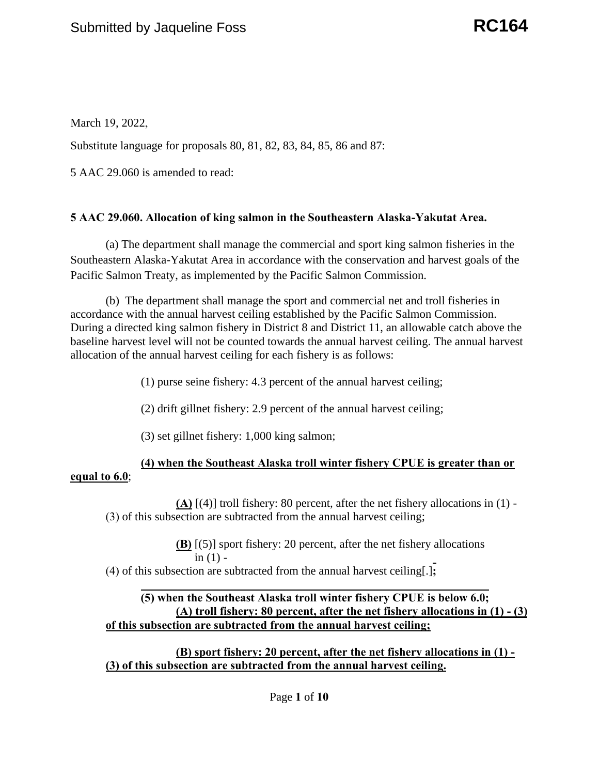March 19, 2022,

Substitute language for proposals 80, 81, 82, 83, 84, 85, 86 and 87:

5 AAC 29.060 is amended to read:

# **[5 AAC 29.060. Allocation of king salmon in the Southeastern Alaska-Yakutat Area.](http://www.akleg.gov/basis/aac.asp#5.29.060)**

(a) The department shall manage the commercial and sport king salmon fisheries in the Southeastern Alaska-Yakutat Area in accordance with the conservation and harvest goals of the Pacific Salmon Treaty, as implemented by the Pacific Salmon Commission.

allocation of the annual harvest ceiling for each fishery is as follows:<br>(1) purse seine fishery: 4.3 percent of the annual harvest ceiling; (b) The department shall manage the sport and commercial net and troll fisheries in accordance with the annual harvest ceiling established by the Pacific Salmon Commission. During a directed king salmon fishery in District 8 and District 11, an allowable catch above the baseline harvest level will not be counted towards the annual harvest ceiling. The annual harvest

(2) drift gillnet fishery: 2.9 percent of the annual harvest ceiling;

(3) set gillnet fishery: 1,000 king salmon;

# **(4) when the Southeast Alaska troll winter fishery CPUE is greater than or equal to 6.0**;

**(A)** [(4)] troll fishery: 80 percent, after the net fishery allocations in (1) - (3) of this subsection are subtracted from the annual harvest ceiling;

> **(B)** [(5)] sport fishery: 20 percent, after the net fishery allocations in  $(1)$  -

(4) of this subsection are subtracted from the annual harvest ceiling[.]**;** 

# **(5) when the Southeast Alaska troll winter fishery CPUE is below 6.0; (A) troll fishery: 80 percent, after the net fishery allocations in (1) - (3) of this subsection are subtracted from the annual harvest ceiling;**

**(B) sport fishery: 20 percent, after the net fishery allocations in (1) - (3) of this subsection are subtracted from the annual harvest ceiling.**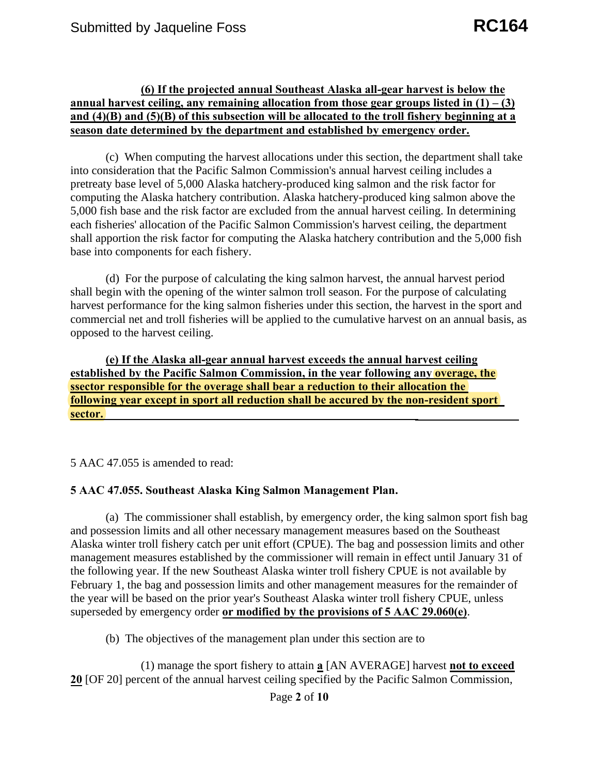#### **(6) If the projected annual Southeast Alaska all-gear harvest is below the annual harvest ceiling, any remaining allocation from those gear groups listed in (1) – (3) and (4)(B) and (5)(B) of this subsection will be allocated to the troll fishery beginning at a season date determined by the department and established by emergency order.**

(c) When computing the harvest allocations under this section, the department shall take into consideration that the Pacific Salmon Commission's annual harvest ceiling includes a pretreaty base level of 5,000 Alaska hatchery-produced king salmon and the risk factor for computing the Alaska hatchery contribution. Alaska hatchery-produced king salmon above the 5,000 fish base and the risk factor are excluded from the annual harvest ceiling. In determining each fisheries' allocation of the Pacific Salmon Commission's harvest ceiling, the department shall apportion the risk factor for computing the Alaska hatchery contribution and the 5,000 fish base into components for each fishery.

(d) For the purpose of calculating the king salmon harvest, the annual harvest period shall begin with the opening of the winter salmon troll season. For the purpose of calculating harvest performance for the king salmon fisheries under this section, the harvest in the sport and commercial net and troll fisheries will be applied to the cumulative harvest on an annual basis, as opposed to the harvest ceiling.

**(e) If the Alaska all-gear annual harvest exceeds the annual harvest ceiling established by the Pacific Salmon Commission, in the year following any overage, the ssector responsible for the overage shall bear a reduction to their allocation the following year except in sport all reduction shall be accured by the non-resident sport sector.**

5 AAC 47.055 is amended to read:

#### **5 AAC 47.055. Southeast Alaska King Salmon Management Plan.**

(a) The commissioner shall establish, by emergency order, the king salmon sport fish bag and possession limits and all other necessary management measures based on the Southeast Alaska winter troll fishery catch per unit effort (CPUE). The bag and possession limits and other management measures established by the commissioner will remain in effect until January 31 of the following year. If the new Southeast Alaska winter troll fishery CPUE is not available by February 1, the bag and possession limits and other management measures for the remainder of the year will be based on the prior year's Southeast Alaska winter troll fishery CPUE, unless superseded by emergency order **or modified by the provisions of 5 AAC 29.060(e)**.

(b) The objectives of the management plan under this section are to

(1) manage the sport fishery to attain **a** [AN AVERAGE] harvest **not to exceed 20** [OF 20] percent of the annual harvest ceiling specified by the Pacific Salmon Commission,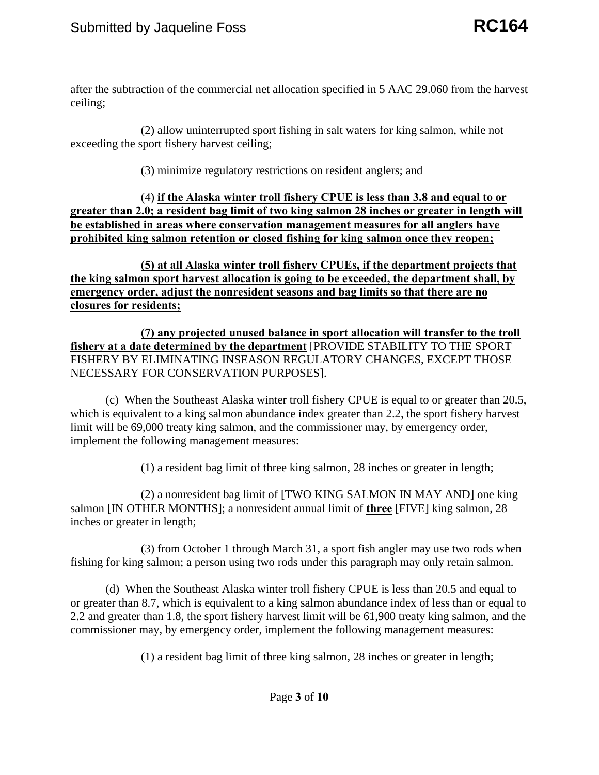ceiling; after the subtraction of the commercial net allocation specified in 5 AAC 29.060 from the harvest

exceeding the sport fishery harvest ceiling;  $(2)$  allow uninterrupted sport fishing in salt waters for king salmon, while not

 $(3)$  minimize regulatory restrictions on resident anglers; and

(4) **if the Alaska winter troll fishery CPUE is less than 3.8 and equal to or greater than 2.0; a resident bag limit of two king salmon 28 inches or greater in length will be established in areas where conservation management measures for all anglers have prohibited king salmon retention or closed fishing for king salmon once they reopen;** 

**(5) at all Alaska winter troll fishery CPUEs, if the department projects that the king salmon sport harvest allocation is going to be exceeded, the department shall, by emergency order, adjust the nonresident seasons and bag limits so that there are no closures for residents;** 

 FISHERY BY ELIMINATING INSEASON REGULATORY CHANGES, EXCEPT THOSE **(7) any projected unused balance in sport allocation will transfer to the troll fishery at a date determined by the department** [PROVIDE STABILITY TO THE SPORT NECESSARY FOR CONSERVATION PURPOSES].

(c) When the Southeast Alaska winter troll fishery CPUE is equal to or greater than 20.5, which is equivalent to a king salmon abundance index greater than 2.2, the sport fishery harvest limit will be 69,000 treaty king salmon, and the commissioner may, by emergency order, implement the following management measures:

(1) a resident bag limit of three king salmon, 28 inches or greater in length;

(2) a nonresident bag limit of [TWO KING SALMON IN MAY AND] one king salmon [IN OTHER MONTHS]; a nonresident annual limit of **three** [FIVE] king salmon, 28 inches or greater in length;

(3) from October 1 through March 31, a sport fish angler may use two rods when fishing for king salmon; a person using two rods under this paragraph may only retain salmon.

(d) When the Southeast Alaska winter troll fishery CPUE is less than 20.5 and equal to or greater than 8.7, which is equivalent to a king salmon abundance index of less than or equal to 2.2 and greater than 1.8, the sport fishery harvest limit will be 61,900 treaty king salmon, and the commissioner may, by emergency order, implement the following management measures:

(1) a resident bag limit of three king salmon, 28 inches or greater in length;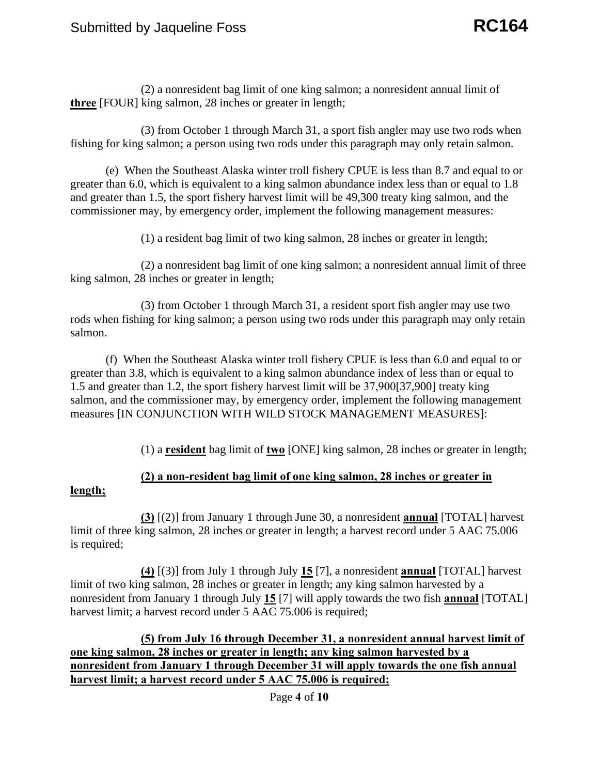(2) a nonresident bag limit of one king salmon; a nonresident annual limit of **three** [FOUR] king salmon, 28 inches or greater in length;

(3) from October 1 through March 31, a sport fish angler may use two rods when fishing for king salmon; a person using two rods under this paragraph may only retain salmon.

 commissioner may, by emergency order, implement the following management measures: (1) a resident bag limit of two king salmon, 28 inches or greater in length; (e) When the Southeast Alaska winter troll fishery CPUE is less than 8.7 and equal to or greater than 6.0, which is equivalent to a king salmon abundance index less than or equal to 1.8 and greater than 1.5, the sport fishery harvest limit will be 49,300 treaty king salmon, and the

(2) a nonresident bag limit of one king salmon; a nonresident annual limit of three king salmon, 28 inches or greater in length;

(3) from October 1 through March 31, a resident sport fish angler may use two rods when fishing for king salmon; a person using two rods under this paragraph may only retain salmon.

(f) When the Southeast Alaska winter troll fishery CPUE is less than 6.0 and equal to or greater than 3.8, which is equivalent to a king salmon abundance index of less than or equal to 1.5 and greater than 1.2, the sport fishery harvest limit will be 37,900[37,900] treaty king salmon, and the commissioner may, by emergency order, implement the following management measures [IN CONJUNCTION WITH WILD STOCK MANAGEMENT MEASURES]:

(1) a **resident** bag limit of **two** [ONE] king salmon, 28 inches or greater in length;

# **(2) a non-resident bag limit of one king salmon, 28 inches or greater in**

#### **length;**

**(3)** [(2)] from January 1 through June 30, a nonresident **annual** [TOTAL] harvest limit of three king salmon, 28 inches or greater in length; a harvest record under 5 AAC 75.006 is required;

**(4)** [(3)] from July 1 through July **15** [7], a nonresident **annual** [TOTAL] harvest limit of two king salmon, 28 inches or greater in length; any king salmon harvested by a nonresident from January 1 through July **15** [7] will apply towards the two fish **annual** [TOTAL] harvest limit; a harvest record under 5 AAC 75.006 is required;

**(5) from July 16 through December 31, a nonresident annual harvest limit of one king salmon, 28 inches or greater in length; any king salmon harvested by a nonresident from January 1 through December 31 will apply towards the one fish annual harvest limit; a harvest record under 5 AAC 75.006 is required;** 

Page **4** of **10**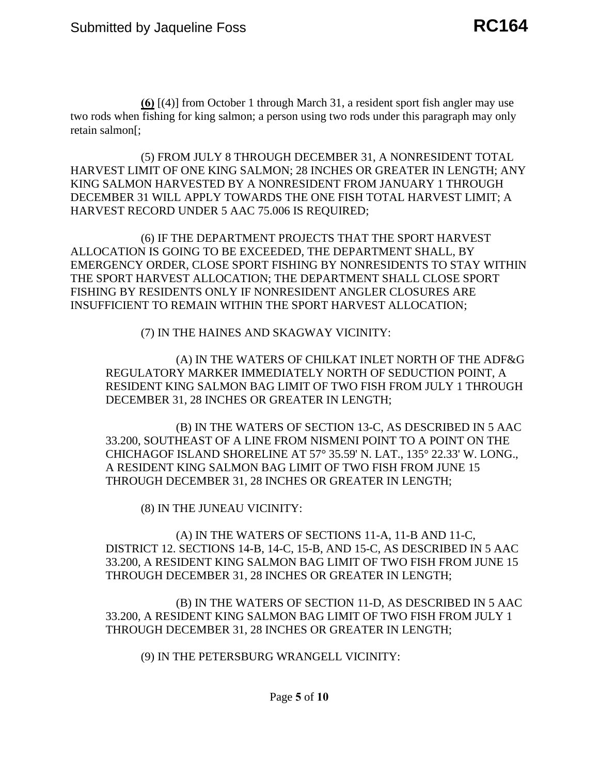$\underline{60}$  [(4)] from October 1 through March 31, a resident sport fish angler may use<br>fishing for king salmon: a person using two rods under this paragraph may only two rods when fishing for king salmon; a person using two rods under this paragraph may only retain salmon[;

(5) FROM JULY 8 THROUGH DECEMBER 31, A NONRESIDENT TOTAL HARVEST LIMIT OF ONE KING SALMON; 28 INCHES OR GREATER IN LENGTH; ANY KING SALMON HARVESTED BY A NONRESIDENT FROM JANUARY 1 THROUGH DECEMBER 31 WILL APPLY TOWARDS THE ONE FISH TOTAL HARVEST LIMIT; A HARVEST RECORD UNDER 5 AAC 75.006 IS REQUIRED;

 ALLOCATION IS GOING TO BE EXCEEDED, THE DEPARTMENT SHALL, BY FISHING BY RESIDENTS ONLY IF NONRESIDENT ANGLER CLOSURES ARE (6) IF THE DEPARTMENT PROJECTS THAT THE SPORT HARVEST EMERGENCY ORDER, CLOSE SPORT FISHING BY NONRESIDENTS TO STAY WITHIN THE SPORT HARVEST ALLOCATION; THE DEPARTMENT SHALL CLOSE SPORT INSUFFICIENT TO REMAIN WITHIN THE SPORT HARVEST ALLOCATION;

(7) IN THE HAINES AND SKAGWAY VICINITY:

(A) IN THE WATERS OF CHILKAT INLET NORTH OF THE ADF&G REGULATORY MARKER IMMEDIATELY NORTH OF SEDUCTION POINT, A RESIDENT KING SALMON BAG LIMIT OF TWO FISH FROM JULY 1 THROUGH DECEMBER 31, 28 INCHES OR GREATER IN LENGTH;

(B) IN THE WATERS OF SECTION 13-C, AS DESCRIBED IN 5 AAC 33.200, SOUTHEAST OF A LINE FROM NISMENI POINT TO A POINT ON THE CHICHAGOF ISLAND SHORELINE AT 57° 35.59' N. LAT., 135° 22.33' W. LONG., A RESIDENT KING SALMON BAG LIMIT OF TWO FISH FROM JUNE 15 THROUGH DECEMBER 31, 28 INCHES OR GREATER IN LENGTH;

(8) IN THE JUNEAU VICINITY:

(A) IN THE WATERS OF SECTIONS 11-A, 11-B AND 11-C, DISTRICT 12. SECTIONS 14-B, 14-C, 15-B, AND 15-C, AS DESCRIBED IN 5 AAC 33.200, A RESIDENT KING SALMON BAG LIMIT OF TWO FISH FROM JUNE 15 THROUGH DECEMBER 31, 28 INCHES OR GREATER IN LENGTH;

(B) IN THE WATERS OF SECTION 11-D, AS DESCRIBED IN 5 AAC 33.200, A RESIDENT KING SALMON BAG LIMIT OF TWO FISH FROM JULY 1 THROUGH DECEMBER 31, 28 INCHES OR GREATER IN LENGTH;

(9) IN THE PETERSBURG WRANGELL VICINITY: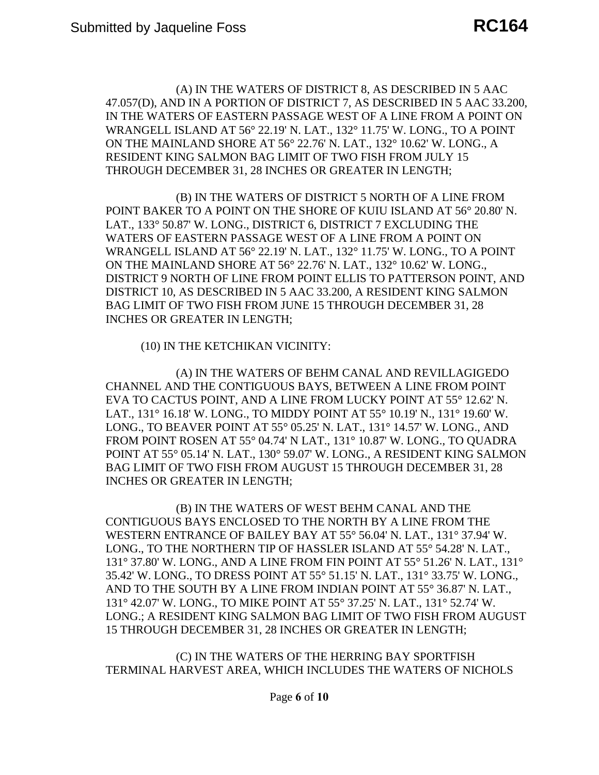(A) IN THE WATERS OF DISTRICT 8, AS DESCRIBED IN 5 AAC 47.057(D), AND IN A PORTION OF DISTRICT 7, AS DESCRIBED IN 5 AAC 33.200, IN THE WATERS OF EASTERN PASSAGE WEST OF A LINE FROM A POINT ON WRANGELL ISLAND AT 56° 22.19' N. LAT., 132° 11.75' W. LONG., TO A POINT ON THE MAINLAND SHORE AT 56° 22.76' N. LAT., 132° 10.62' W. LONG., A RESIDENT KING SALMON BAG LIMIT OF TWO FISH FROM JULY 15 THROUGH DECEMBER 31, 28 INCHES OR GREATER IN LENGTH;

 POINT BAKER TO A POINT ON THE SHORE OF KUIU ISLAND AT 56° 20.80' N. WATERS OF EASTERN PASSAGE WEST OF A LINE FROM A POINT ON (B) IN THE WATERS OF DISTRICT 5 NORTH OF A LINE FROM LAT., 133° 50.87' W. LONG., DISTRICT 6, DISTRICT 7 EXCLUDING THE WRANGELL ISLAND AT 56° 22.19' N. LAT., 132° 11.75' W. LONG., TO A POINT ON THE MAINLAND SHORE AT 56° 22.76' N. LAT., 132° 10.62' W. LONG., DISTRICT 9 NORTH OF LINE FROM POINT ELLIS TO PATTERSON POINT, AND DISTRICT 10, AS DESCRIBED IN 5 AAC 33.200, A RESIDENT KING SALMON BAG LIMIT OF TWO FISH FROM JUNE 15 THROUGH DECEMBER 31, 28 INCHES OR GREATER IN LENGTH;

(10) IN THE KETCHIKAN VICINITY:

(A) IN THE WATERS OF BEHM CANAL AND REVILLAGIGEDO CHANNEL AND THE CONTIGUOUS BAYS, BETWEEN A LINE FROM POINT EVA TO CACTUS POINT, AND A LINE FROM LUCKY POINT AT 55° 12.62' N. LAT., 131° 16.18' W. LONG., TO MIDDY POINT AT 55° 10.19' N., 131° 19.60' W. LONG., TO BEAVER POINT AT 55° 05.25' N. LAT., 131° 14.57' W. LONG., AND FROM POINT ROSEN AT 55° 04.74' N LAT., 131° 10.87' W. LONG., TO QUADRA POINT AT 55° 05.14' N. LAT., 130° 59.07' W. LONG., A RESIDENT KING SALMON BAG LIMIT OF TWO FISH FROM AUGUST 15 THROUGH DECEMBER 31, 28 INCHES OR GREATER IN LENGTH;

 LONG.; A RESIDENT KING SALMON BAG LIMIT OF TWO FISH FROM AUGUST (B) IN THE WATERS OF WEST BEHM CANAL AND THE CONTIGUOUS BAYS ENCLOSED TO THE NORTH BY A LINE FROM THE WESTERN ENTRANCE OF BAILEY BAY AT 55° 56.04' N. LAT., 131° 37.94' W. LONG., TO THE NORTHERN TIP OF HASSLER ISLAND AT 55° 54.28' N. LAT., 131° 37.80' W. LONG., AND A LINE FROM FIN POINT AT 55° 51.26' N. LAT., 131° 35.42' W. LONG., TO DRESS POINT AT 55° 51.15' N. LAT., 131° 33.75' W. LONG., AND TO THE SOUTH BY A LINE FROM INDIAN POINT AT 55° 36.87' N. LAT., 131° 42.07' W. LONG., TO MIKE POINT AT 55° 37.25' N. LAT., 131° 52.74' W. 15 THROUGH DECEMBER 31, 28 INCHES OR GREATER IN LENGTH;

 TERMINAL HARVEST AREA, WHICH INCLUDES THE WATERS OF NICHOLS (C) IN THE WATERS OF THE HERRING BAY SPORTFISH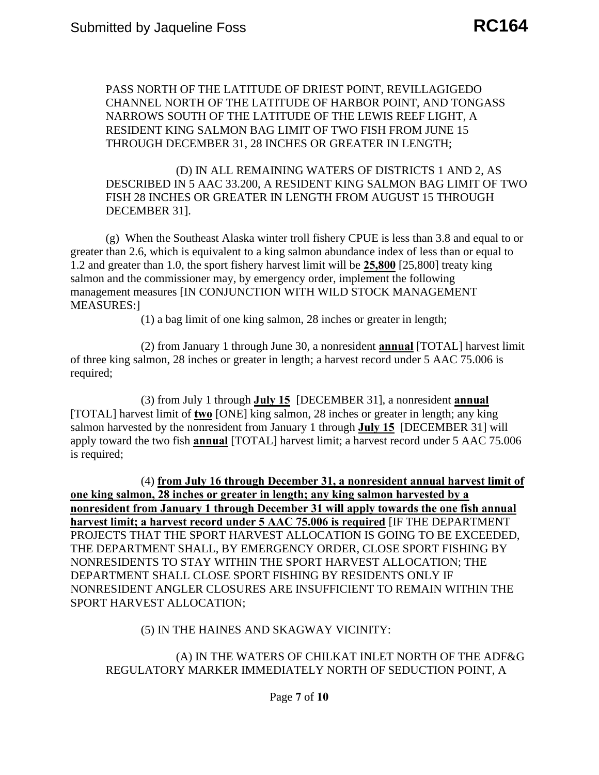PASS NORTH OF THE LATITUDE OF DRIEST POINT, REVILLAGIGEDO CHANNEL NORTH OF THE LATITUDE OF HARBOR POINT, AND TONGASS NARROWS SOUTH OF THE LATITUDE OF THE LEWIS REEF LIGHT, A RESIDENT KING SALMON BAG LIMIT OF TWO FISH FROM JUNE 15 THROUGH DECEMBER 31, 28 INCHES OR GREATER IN LENGTH;

DECEMBER 311. (D) IN ALL REMAINING WATERS OF DISTRICTS 1 AND 2, AS DESCRIBED IN 5 AAC 33.200, A RESIDENT KING SALMON BAG LIMIT OF TWO FISH 28 INCHES OR GREATER IN LENGTH FROM AUGUST 15 THROUGH

 $(g)$ . When the Southeast Alaska winter troll fishery CPUE is less than 3.8 and equal to or greater than 2.6, which is equivalent to a king salmon abundance index of less than or equal to 1.2 and greater than 1.0, the sport fishery harvest limit will be **25,800** [25,800] treaty king salmon and the commissioner may, by emergency order, implement the following management measures [IN CONJUNCTION WITH WILD STOCK MANAGEMENT MEASURES:]

(1) a bag limit of one king salmon, 28 inches or greater in length;

(2) from January 1 through June 30, a nonresident **annual** [TOTAL] harvest limit of three king salmon, 28 inches or greater in length; a harvest record under 5 AAC 75.006 is required;

(3) from July 1 through **July 15** [DECEMBER 31], a nonresident **annual**  [TOTAL] harvest limit of **two** [ONE] king salmon, 28 inches or greater in length; any king salmon harvested by the nonresident from January 1 through **July 15** [DECEMBER 31] will apply toward the two fish **annual** [TOTAL] harvest limit; a harvest record under 5 AAC 75.006 is required;

(4) **from July 16 through December 31, a nonresident annual harvest limit of one king salmon, 28 inches or greater in length; any king salmon harvested by a nonresident from January 1 through December 31 will apply towards the one fish annual harvest limit; a harvest record under 5 AAC 75.006 is required** [IF THE DEPARTMENT PROJECTS THAT THE SPORT HARVEST ALLOCATION IS GOING TO BE EXCEEDED, THE DEPARTMENT SHALL, BY EMERGENCY ORDER, CLOSE SPORT FISHING BY NONRESIDENTS TO STAY WITHIN THE SPORT HARVEST ALLOCATION; THE DEPARTMENT SHALL CLOSE SPORT FISHING BY RESIDENTS ONLY IF NONRESIDENT ANGLER CLOSURES ARE INSUFFICIENT TO REMAIN WITHIN THE SPORT HARVEST ALLOCATION;

#### (5) IN THE HAINES AND SKAGWAY VICINITY:

# (A) IN THE WATERS OF CHILKAT INLET NORTH OF THE ADF&G REGULATORY MARKER IMMEDIATELY NORTH OF SEDUCTION POINT, A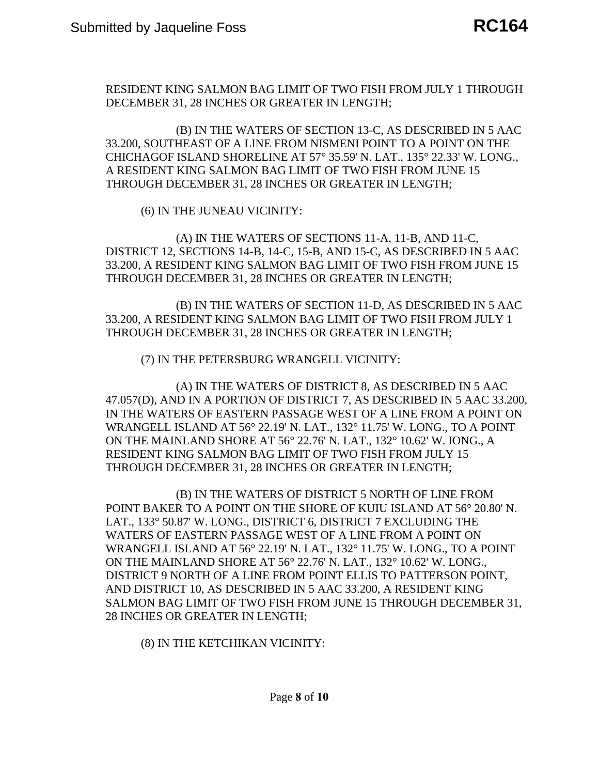RESIDENT KING SALMON BAG LIMIT OF TWO FISH FROM JULY 1 THROUGH DECEMBER 31, 28 INCHES OR GREATER IN LENGTH;

(B) IN THE WATERS OF SECTION 13-C, AS DESCRIBED IN 5 AAC 33.200, SOUTHEAST OF A LINE FROM NISMENI POINT TO A POINT ON THE CHICHAGOF ISLAND SHORELINE AT 57° 35.59' N. LAT., 135° 22.33' W. LONG., A RESIDENT KING SALMON BAG LIMIT OF TWO FISH FROM JUNE 15 THROUGH DECEMBER 31, 28 INCHES OR GREATER IN LENGTH;

(6) IN THE JUNEAU VICINITY:

(A) IN THE WATERS OF SECTIONS 11-A, 11-B, AND 11-C, DISTRICT 12, SECTIONS 14-B, 14-C, 15-B, AND 15-C, AS DESCRIBED IN 5 AAC 33.200, A RESIDENT KING SALMON BAG LIMIT OF TWO FISH FROM JUNE 15 THROUGH DECEMBER 31, 28 INCHES OR GREATER IN LENGTH;

(B) IN THE WATERS OF SECTION 11-D, AS DESCRIBED IN 5 AAC 33.200, A RESIDENT KING SALMON BAG LIMIT OF TWO FISH FROM JULY 1 THROUGH DECEMBER 31, 28 INCHES OR GREATER IN LENGTH;

(7) IN THE PETERSBURG WRANGELL VICINITY:

(A) IN THE WATERS OF DISTRICT 8, AS DESCRIBED IN 5 AAC 47.057(D), AND IN A PORTION OF DISTRICT 7, AS DESCRIBED IN 5 AAC 33.200, IN THE WATERS OF EASTERN PASSAGE WEST OF A LINE FROM A POINT ON WRANGELL ISLAND AT 56° 22.19' N. LAT., 132° 11.75' W. LONG., TO A POINT ON THE MAINLAND SHORE AT 56° 22.76' N. LAT., 132° 10.62' W. IONG., A RESIDENT KING SALMON BAG LIMIT OF TWO FISH FROM JULY 15 THROUGH DECEMBER 31, 28 INCHES OR GREATER IN LENGTH;

 POINT BAKER TO A POINT ON THE SHORE OF KUIU ISLAND AT 56° 20.80' N. WATERS OF EASTERN PASSAGE WEST OF A LINE FROM A POINT ON (B) IN THE WATERS OF DISTRICT 5 NORTH OF LINE FROM LAT., 133° 50.87' W. LONG., DISTRICT 6, DISTRICT 7 EXCLUDING THE WRANGELL ISLAND AT 56° 22.19' N. LAT., 132° 11.75' W. LONG., TO A POINT ON THE MAINLAND SHORE AT 56° 22.76' N. LAT., 132° 10.62' W. LONG., DISTRICT 9 NORTH OF A LINE FROM POINT ELLIS TO PATTERSON POINT, AND DISTRICT 10, AS DESCRIBED IN 5 AAC 33.200, A RESIDENT KING SALMON BAG LIMIT OF TWO FISH FROM JUNE 15 THROUGH DECEMBER 31, 28 INCHES OR GREATER IN LENGTH;

(8) IN THE KETCHIKAN VICINITY: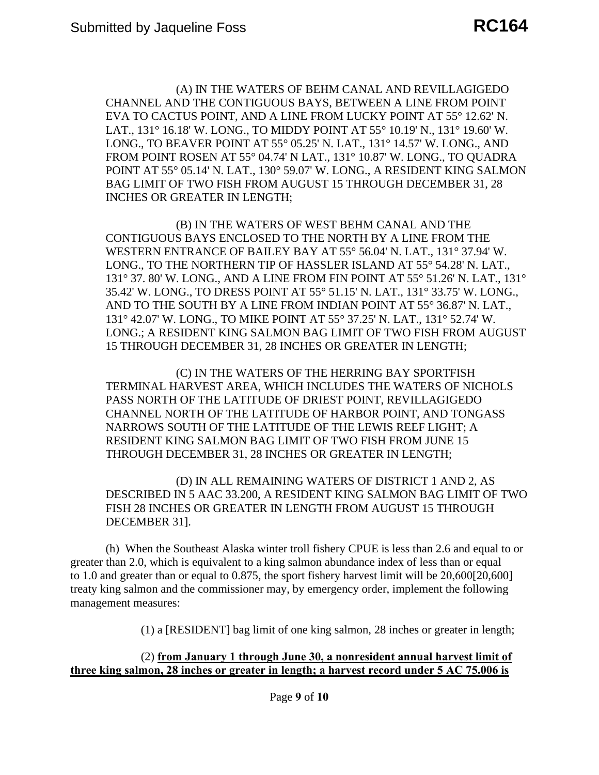(A) IN THE WATERS OF BEHM CANAL AND REVILLAGIGEDO CHANNEL AND THE CONTIGUOUS BAYS, BETWEEN A LINE FROM POINT EVA TO CACTUS POINT, AND A LINE FROM LUCKY POINT AT 55° 12.62' N. LAT., 131° 16.18' W. LONG., TO MIDDY POINT AT 55° 10.19' N., 131° 19.60' W. LONG., TO BEAVER POINT AT 55° 05.25' N. LAT., 131° 14.57' W. LONG., AND FROM POINT ROSEN AT 55° 04.74' N LAT., 131° 10.87' W. LONG., TO QUADRA POINT AT 55° 05.14' N. LAT., 130° 59.07' W. LONG., A RESIDENT KING SALMON BAG LIMIT OF TWO FISH FROM AUGUST 15 THROUGH DECEMBER 31, 28 INCHES OR GREATER IN LENGTH;

 LONG.; A RESIDENT KING SALMON BAG LIMIT OF TWO FISH FROM AUGUST (B) IN THE WATERS OF WEST BEHM CANAL AND THE CONTIGUOUS BAYS ENCLOSED TO THE NORTH BY A LINE FROM THE WESTERN ENTRANCE OF BAILEY BAY AT 55° 56.04' N. LAT., 131° 37.94' W. LONG., TO THE NORTHERN TIP OF HASSLER ISLAND AT 55° 54.28' N. LAT., 131° 37. 80' W. LONG., AND A LINE FROM FIN POINT AT 55° 51.26' N. LAT., 131° 35.42' W. LONG., TO DRESS POINT AT 55° 51.15' N. LAT., 131° 33.75' W. LONG., AND TO THE SOUTH BY A LINE FROM INDIAN POINT AT 55° 36.87' N. LAT., 131° 42.07' W. LONG., TO MIKE POINT AT 55° 37.25' N. LAT., 131° 52.74' W. 15 THROUGH DECEMBER 31, 28 INCHES OR GREATER IN LENGTH;

 TERMINAL HARVEST AREA, WHICH INCLUDES THE WATERS OF NICHOLS (C) IN THE WATERS OF THE HERRING BAY SPORTFISH PASS NORTH OF THE LATITUDE OF DRIEST POINT, REVILLAGIGEDO CHANNEL NORTH OF THE LATITUDE OF HARBOR POINT, AND TONGASS NARROWS SOUTH OF THE LATITUDE OF THE LEWIS REEF LIGHT; A RESIDENT KING SALMON BAG LIMIT OF TWO FISH FROM JUNE 15 THROUGH DECEMBER 31, 28 INCHES OR GREATER IN LENGTH;

(D) IN ALL REMAINING WATERS OF DISTRICT 1 AND 2, AS DESCRIBED IN 5 AAC 33.200, A RESIDENT KING SALMON BAG LIMIT OF TWO FISH 28 INCHES OR GREATER IN LENGTH FROM AUGUST 15 THROUGH DECEMBER 31].

(h) When the Southeast Alaska winter troll fishery CPUE is less than 2.6 and equal to or greater than 2.0, which is equivalent to a king salmon abundance index of less than or equal to 1.0 and greater than or equal to 0.875, the sport fishery harvest limit will be 20,600[20,600] treaty king salmon and the commissioner may, by emergency order, implement the following management measures:

(1) a [RESIDENT] bag limit of one king salmon, 28 inches or greater in length;

#### (2) **from January 1 through June 30, a nonresident annual harvest limit of three king salmon, 28 inches or greater in length; a harvest record under 5 AC 75.006 is**